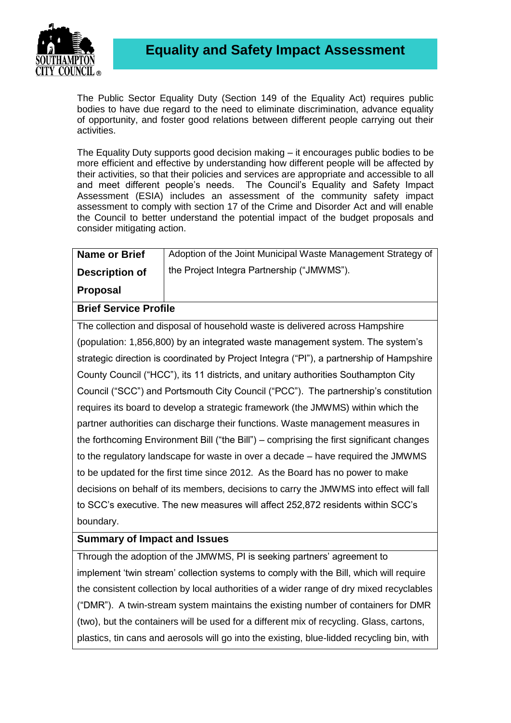

The Public Sector Equality Duty (Section 149 of the Equality Act) requires public bodies to have due regard to the need to eliminate discrimination, advance equality of opportunity, and foster good relations between different people carrying out their activities.

The Equality Duty supports good decision making – it encourages public bodies to be more efficient and effective by understanding how different people will be affected by their activities, so that their policies and services are appropriate and accessible to all and meet different people's needs. The Council's Equality and Safety Impact Assessment (ESIA) includes an assessment of the community safety impact assessment to comply with section 17 of the Crime and Disorder Act and will enable the Council to better understand the potential impact of the budget proposals and consider mitigating action.

| <b>Name or Brief</b>  | Adoption of the Joint Municipal Waste Management Strategy of |
|-----------------------|--------------------------------------------------------------|
| <b>Description of</b> | the Project Integra Partnership ("JMWMS").                   |

**Proposal**

**Brief Service Profile**

The collection and disposal of household waste is delivered across Hampshire (population: 1,856,800) by an integrated waste management system. The system's strategic direction is coordinated by Project Integra ("PI"), a partnership of Hampshire County Council ("HCC"), its 11 districts, and unitary authorities Southampton City Council ("SCC") and Portsmouth City Council ("PCC"). The partnership's constitution requires its board to develop a strategic framework (the JMWMS) within which the partner authorities can discharge their functions. Waste management measures in the forthcoming Environment Bill ("the Bill") – comprising the first significant changes to the regulatory landscape for waste in over a decade – have required the JMWMS to be updated for the first time since 2012. As the Board has no power to make decisions on behalf of its members, decisions to carry the JMWMS into effect will fall to SCC's executive. The new measures will affect 252,872 residents within SCC's boundary.

## **Summary of Impact and Issues**

Through the adoption of the JMWMS, PI is seeking partners' agreement to implement 'twin stream' collection systems to comply with the Bill, which will require the consistent collection by local authorities of a wider range of dry mixed recyclables ("DMR"). A twin-stream system maintains the existing number of containers for DMR (two), but the containers will be used for a different mix of recycling. Glass, cartons, plastics, tin cans and aerosols will go into the existing, blue-lidded recycling bin, with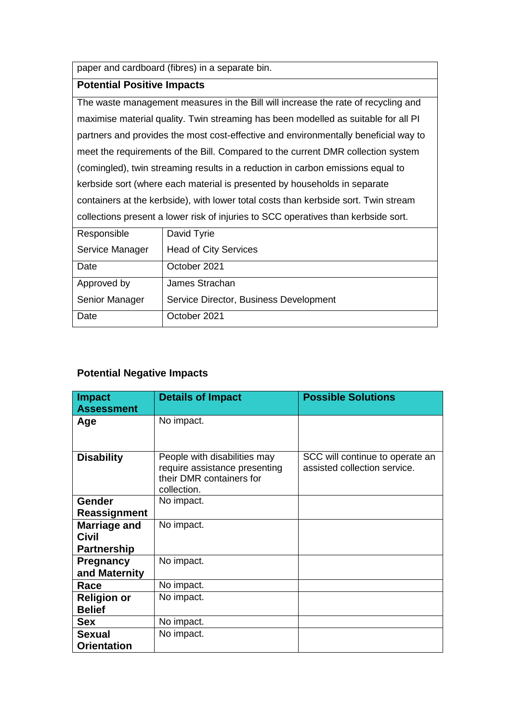paper and cardboard (fibres) in a separate bin.

## **Potential Positive Impacts**

The waste management measures in the Bill will increase the rate of recycling and maximise material quality. Twin streaming has been modelled as suitable for all PI partners and provides the most cost-effective and environmentally beneficial way to meet the requirements of the Bill. Compared to the current DMR collection system (comingled), twin streaming results in a reduction in carbon emissions equal to kerbside sort (where each material is presented by households in separate containers at the kerbside), with lower total costs than kerbside sort. Twin stream collections present a lower risk of injuries to SCC operatives than kerbside sort.

| Responsible     | David Tyrie                            |
|-----------------|----------------------------------------|
| Service Manager | <b>Head of City Services</b>           |
| Date            | October 2021                           |
| Approved by     | James Strachan                         |
| Senior Manager  | Service Director, Business Development |
| Date            | October 2021                           |

## **Potential Negative Impacts**

| <b>Impact</b><br><b>Assessment</b>                        | <b>Details of Impact</b>                                                                                 | <b>Possible Solutions</b>                                       |
|-----------------------------------------------------------|----------------------------------------------------------------------------------------------------------|-----------------------------------------------------------------|
| Age                                                       | No impact.                                                                                               |                                                                 |
| <b>Disability</b>                                         | People with disabilities may<br>require assistance presenting<br>their DMR containers for<br>collection. | SCC will continue to operate an<br>assisted collection service. |
| <b>Gender</b>                                             | No impact.                                                                                               |                                                                 |
| <b>Reassignment</b>                                       |                                                                                                          |                                                                 |
| <b>Marriage and</b><br><b>Civil</b><br><b>Partnership</b> | No impact.                                                                                               |                                                                 |
| Pregnancy<br>and Maternity                                | No impact.                                                                                               |                                                                 |
| Race                                                      | No impact.                                                                                               |                                                                 |
| <b>Religion or</b><br><b>Belief</b>                       | No impact.                                                                                               |                                                                 |
| <b>Sex</b>                                                | No impact.                                                                                               |                                                                 |
| <b>Sexual</b><br><b>Orientation</b>                       | No impact.                                                                                               |                                                                 |